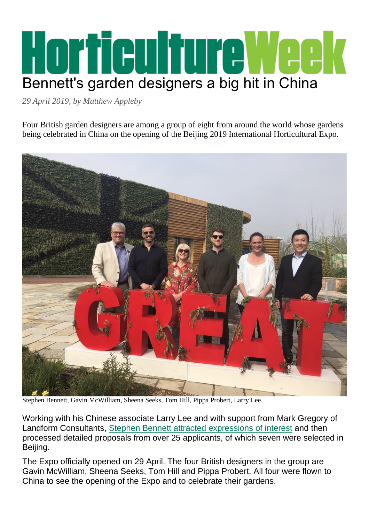## Horfieulfure Week Bennett's garden designers a big hit in China

*29 April 2019, by Matthew Appleby*

Four British garden designers are among a group of eight from around the world whose gardens being celebrated in China on the opening of the Beijing 2019 International Horticultural Expo.



Stephen Bennett, Gavin McWilliam, Sheena Seeks, Tom Hill, Pippa Probert, Larry Lee.

Working with his Chinese associate Larry Lee and with support from Mark Gregory of Landform Consultants, [Stephen Bennett attracted expressions of interest](http://www.hortweek.com/designers-invited-submit-garden-designs-beijing-horticulture-expo/landscape/article/1463406) and then processed detailed proposals from over 25 applicants, of which seven were selected in Beijing.

The Expo officially opened on 29 April. The four British designers in the group are Gavin McWilliam, Sheena Seeks, Tom Hill and Pippa Probert. All four were flown to China to see the opening of the Expo and to celebrate their gardens.